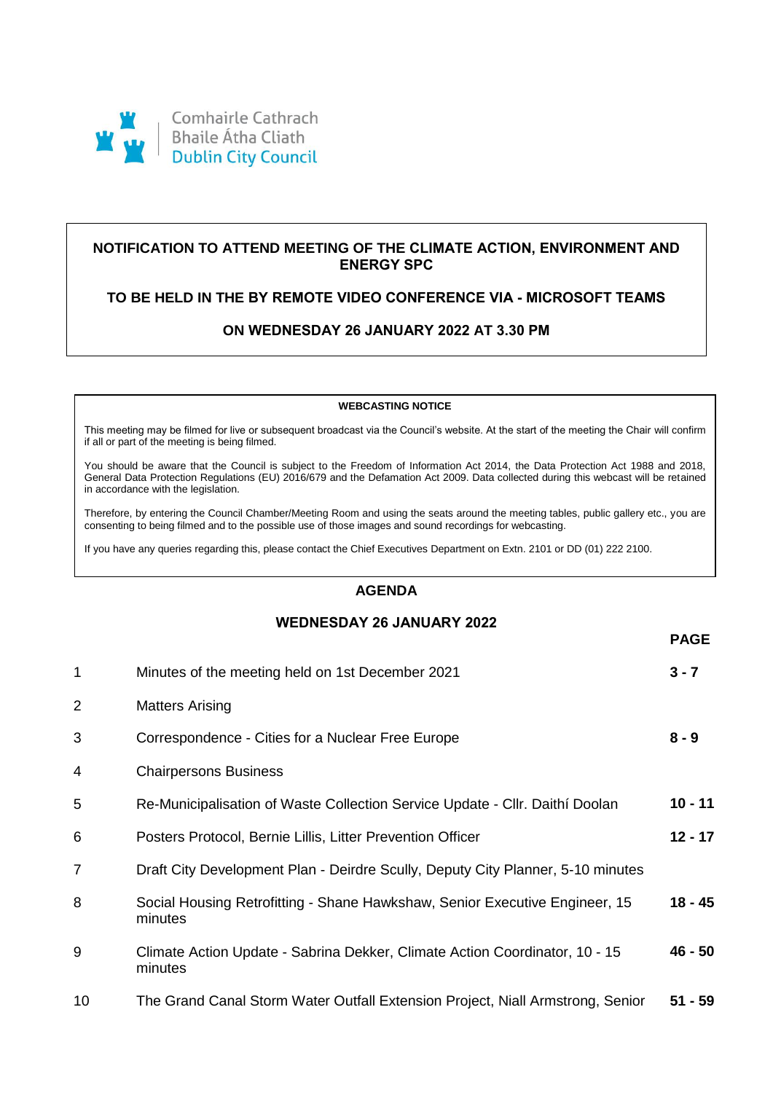

# **NOTIFICATION TO ATTEND MEETING OF THE CLIMATE ACTION, ENVIRONMENT AND ENERGY SPC**

### **TO BE HELD IN THE BY REMOTE VIDEO CONFERENCE VIA - MICROSOFT TEAMS**

# **ON WEDNESDAY 26 JANUARY 2022 AT 3.30 PM**

#### **WEBCASTING NOTICE**

This meeting may be filmed for live or subsequent broadcast via the Council's website. At the start of the meeting the Chair will confirm if all or part of the meeting is being filmed.

You should be aware that the Council is subject to the Freedom of Information Act 2014, the Data Protection Act 1988 and 2018, General Data Protection Regulations (EU) 2016/679 and the Defamation Act 2009. Data collected during this webcast will be retained in accordance with the legislation.

Therefore, by entering the Council Chamber/Meeting Room and using the seats around the meeting tables, public gallery etc., you are consenting to being filmed and to the possible use of those images and sound recordings for webcasting.

If you have any queries regarding this, please contact the Chief Executives Department on Extn. 2101 or DD (01) 222 2100.

## **AGENDA**

### **WEDNESDAY 26 JANUARY 2022**

**PAGE**

|                |                                                                                        | ГАОЦ      |
|----------------|----------------------------------------------------------------------------------------|-----------|
| $\mathbf{1}$   | Minutes of the meeting held on 1st December 2021                                       | $3 - 7$   |
| 2              | <b>Matters Arising</b>                                                                 |           |
| 3              | Correspondence - Cities for a Nuclear Free Europe                                      | $8 - 9$   |
| 4              | <b>Chairpersons Business</b>                                                           |           |
| 5              | Re-Municipalisation of Waste Collection Service Update - Cllr. Daithi Doolan           | $10 - 11$ |
| 6              | Posters Protocol, Bernie Lillis, Litter Prevention Officer                             | $12 - 17$ |
| $\overline{7}$ | Draft City Development Plan - Deirdre Scully, Deputy City Planner, 5-10 minutes        |           |
| 8              | Social Housing Retrofitting - Shane Hawkshaw, Senior Executive Engineer, 15<br>minutes | 18 - 45   |
| 9              | Climate Action Update - Sabrina Dekker, Climate Action Coordinator, 10 - 15<br>minutes | 46 - 50   |
| 10             | The Grand Canal Storm Water Outfall Extension Project, Niall Armstrong, Senior         | $51 - 59$ |